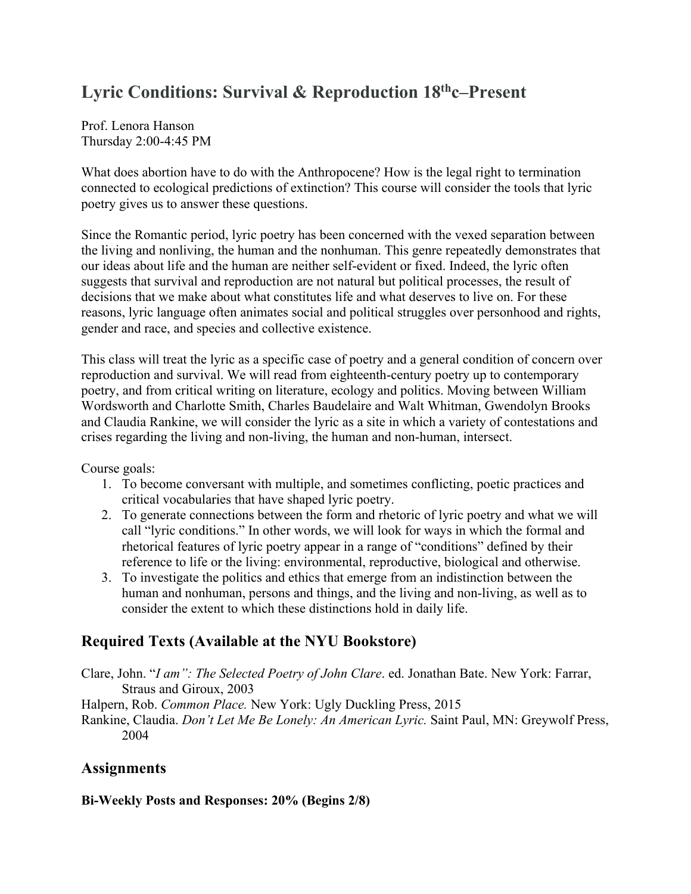# Lyric Conditions: Survival & Reproduction 18<sup>th</sup>c–Present

Prof. Lenora Hanson Thursday 2:00-4:45 PM

What does abortion have to do with the Anthropocene? How is the legal right to termination connected to ecological predictions of extinction? This course will consider the tools that lyric poetry gives us to answer these questions.

Since the Romantic period, lyric poetry has been concerned with the vexed separation between the living and nonliving, the human and the nonhuman. This genre repeatedly demonstrates that our ideas about life and the human are neither self-evident or fixed. Indeed, the lyric often suggests that survival and reproduction are not natural but political processes, the result of decisions that we make about what constitutes life and what deserves to live on. For these reasons, lyric language often animates social and political struggles over personhood and rights, gender and race, and species and collective existence.

This class will treat the lyric as a specific case of poetry and a general condition of concern over reproduction and survival. We will read from eighteenth-century poetry up to contemporary poetry, and from critical writing on literature, ecology and politics. Moving between William Wordsworth and Charlotte Smith, Charles Baudelaire and Walt Whitman, Gwendolyn Brooks and Claudia Rankine, we will consider the lyric as a site in which a variety of contestations and crises regarding the living and non-living, the human and non-human, intersect.

Course goals:

- 1. To become conversant with multiple, and sometimes conflicting, poetic practices and critical vocabularies that have shaped lyric poetry.
- 2. To generate connections between the form and rhetoric of lyric poetry and what we will call "lyric conditions." In other words, we will look for ways in which the formal and rhetorical features of lyric poetry appear in a range of "conditions" defined by their reference to life or the living: environmental, reproductive, biological and otherwise.
- 3. To investigate the politics and ethics that emerge from an indistinction between the human and nonhuman, persons and things, and the living and non-living, as well as to consider the extent to which these distinctions hold in daily life.

## **Required Texts (Available at the NYU Bookstore)**

Clare, John. "*I am": The Selected Poetry of John Clare*. ed. Jonathan Bate. New York: Farrar, Straus and Giroux, 2003

Halpern, Rob. *Common Place.* New York: Ugly Duckling Press, 2015

Rankine, Claudia. *Don't Let Me Be Lonely: An American Lyric.* Saint Paul, MN: Greywolf Press, 2004

## **Assignments**

**Bi-Weekly Posts and Responses: 20% (Begins 2/8)**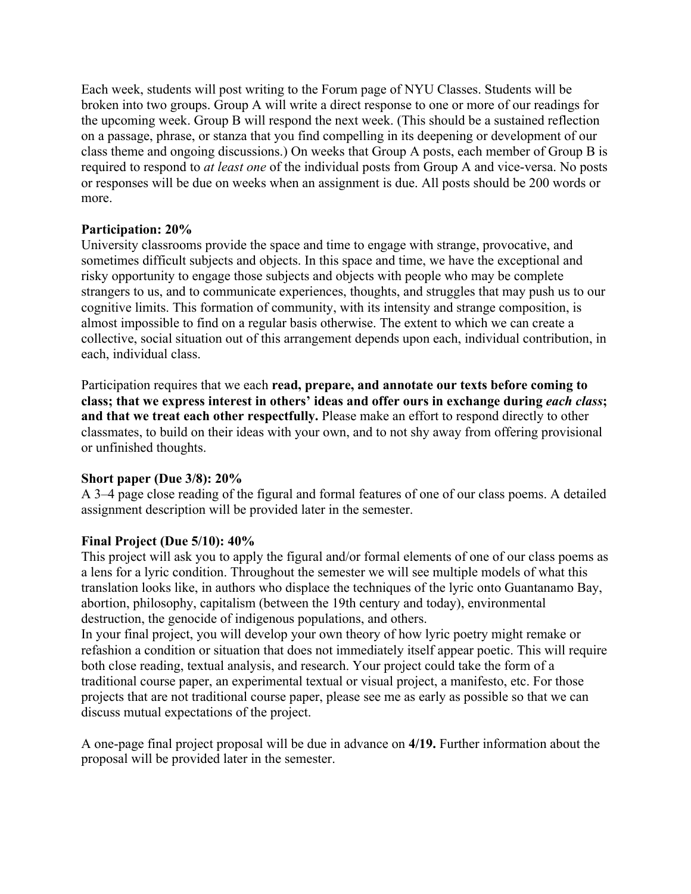Each week, students will post writing to the Forum page of NYU Classes. Students will be broken into two groups. Group A will write a direct response to one or more of our readings for the upcoming week. Group B will respond the next week. (This should be a sustained reflection on a passage, phrase, or stanza that you find compelling in its deepening or development of our class theme and ongoing discussions.) On weeks that Group A posts, each member of Group B is required to respond to *at least one* of the individual posts from Group A and vice-versa. No posts or responses will be due on weeks when an assignment is due. All posts should be 200 words or more.

#### **Participation: 20%**

University classrooms provide the space and time to engage with strange, provocative, and sometimes difficult subjects and objects. In this space and time, we have the exceptional and risky opportunity to engage those subjects and objects with people who may be complete strangers to us, and to communicate experiences, thoughts, and struggles that may push us to our cognitive limits. This formation of community, with its intensity and strange composition, is almost impossible to find on a regular basis otherwise. The extent to which we can create a collective, social situation out of this arrangement depends upon each, individual contribution, in each, individual class.

Participation requires that we each **read, prepare, and annotate our texts before coming to class; that we express interest in others' ideas and offer ours in exchange during** *each class***; and that we treat each other respectfully.** Please make an effort to respond directly to other classmates, to build on their ideas with your own, and to not shy away from offering provisional or unfinished thoughts.

## **Short paper (Due 3/8): 20%**

A 3–4 page close reading of the figural and formal features of one of our class poems. A detailed assignment description will be provided later in the semester.

## **Final Project (Due 5/10): 40%**

This project will ask you to apply the figural and/or formal elements of one of our class poems as a lens for a lyric condition. Throughout the semester we will see multiple models of what this translation looks like, in authors who displace the techniques of the lyric onto Guantanamo Bay, abortion, philosophy, capitalism (between the 19th century and today), environmental destruction, the genocide of indigenous populations, and others.

In your final project, you will develop your own theory of how lyric poetry might remake or refashion a condition or situation that does not immediately itself appear poetic. This will require both close reading, textual analysis, and research. Your project could take the form of a traditional course paper, an experimental textual or visual project, a manifesto, etc. For those projects that are not traditional course paper, please see me as early as possible so that we can discuss mutual expectations of the project.

A one-page final project proposal will be due in advance on **4/19.** Further information about the proposal will be provided later in the semester.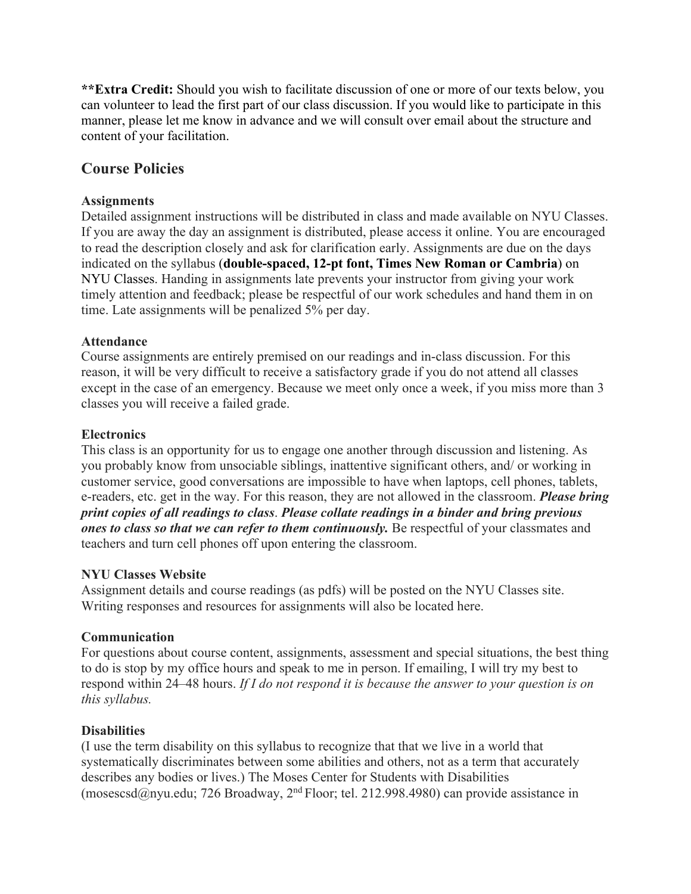**\*\*Extra Credit:** Should you wish to facilitate discussion of one or more of our texts below, you can volunteer to lead the first part of our class discussion. If you would like to participate in this manner, please let me know in advance and we will consult over email about the structure and content of your facilitation.

## **Course Policies**

#### **Assignments**

Detailed assignment instructions will be distributed in class and made available on NYU Classes. If you are away the day an assignment is distributed, please access it online. You are encouraged to read the description closely and ask for clarification early. Assignments are due on the days indicated on the syllabus (**double-spaced, 12-pt font, Times New Roman or Cambria**) on NYU Classes. Handing in assignments late prevents your instructor from giving your work timely attention and feedback; please be respectful of our work schedules and hand them in on time. Late assignments will be penalized 5% per day.

#### **Attendance**

Course assignments are entirely premised on our readings and in-class discussion. For this reason, it will be very difficult to receive a satisfactory grade if you do not attend all classes except in the case of an emergency. Because we meet only once a week, if you miss more than 3 classes you will receive a failed grade.

#### **Electronics**

This class is an opportunity for us to engage one another through discussion and listening. As you probably know from unsociable siblings, inattentive significant others, and/ or working in customer service, good conversations are impossible to have when laptops, cell phones, tablets, e-readers, etc. get in the way. For this reason, they are not allowed in the classroom. *Please bring print copies of all readings to class*. *Please collate readings in a binder and bring previous ones to class so that we can refer to them continuously.* Be respectful of your classmates and teachers and turn cell phones off upon entering the classroom.

#### **NYU Classes Website**

Assignment details and course readings (as pdfs) will be posted on the NYU Classes site. Writing responses and resources for assignments will also be located here.

#### **Communication**

For questions about course content, assignments, assessment and special situations, the best thing to do is stop by my office hours and speak to me in person. If emailing, I will try my best to respond within 24–48 hours. *If I do not respond it is because the answer to your question is on this syllabus.* 

#### **Disabilities**

(I use the term disability on this syllabus to recognize that that we live in a world that systematically discriminates between some abilities and others, not as a term that accurately describes any bodies or lives.) The Moses Center for Students with Disabilities (mosescsd@nyu.edu; 726 Broadway, 2nd Floor; tel. 212.998.4980) can provide assistance in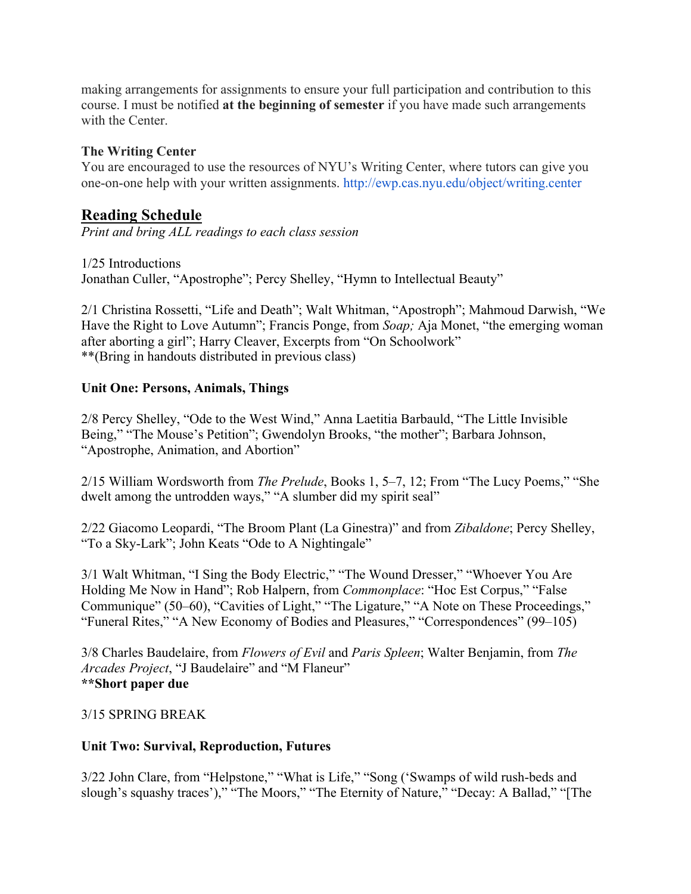making arrangements for assignments to ensure your full participation and contribution to this course. I must be notified **at the beginning of semester** if you have made such arrangements with the Center.

## **The Writing Center**

You are encouraged to use the resources of NYU's Writing Center, where tutors can give you one-on-one help with your written assignments. http://ewp.cas.nyu.edu/object/writing.center

## **Reading Schedule**

*Print and bring ALL readings to each class session* 

1/25 Introductions Jonathan Culler, "Apostrophe"; Percy Shelley, "Hymn to Intellectual Beauty"

2/1 Christina Rossetti, "Life and Death"; Walt Whitman, "Apostroph"; Mahmoud Darwish, "We Have the Right to Love Autumn"; Francis Ponge, from *Soap;* Aja Monet, "the emerging woman after aborting a girl"; Harry Cleaver, Excerpts from "On Schoolwork" \*\*(Bring in handouts distributed in previous class)

## **Unit One: Persons, Animals, Things**

2/8 Percy Shelley, "Ode to the West Wind," Anna Laetitia Barbauld, "The Little Invisible Being," "The Mouse's Petition"; Gwendolyn Brooks, "the mother"; Barbara Johnson, "Apostrophe, Animation, and Abortion"

2/15 William Wordsworth from *The Prelude*, Books 1, 5–7, 12; From "The Lucy Poems," "She dwelt among the untrodden ways," "A slumber did my spirit seal"

2/22 Giacomo Leopardi, "The Broom Plant (La Ginestra)" and from *Zibaldone*; Percy Shelley, "To a Sky-Lark"; John Keats "Ode to A Nightingale"

3/1 Walt Whitman, "I Sing the Body Electric," "The Wound Dresser," "Whoever You Are Holding Me Now in Hand"; Rob Halpern, from *Commonplace*: "Hoc Est Corpus," "False Communique" (50–60), "Cavities of Light," "The Ligature," "A Note on These Proceedings," "Funeral Rites," "A New Economy of Bodies and Pleasures," "Correspondences" (99–105)

3/8 Charles Baudelaire, from *Flowers of Evil* and *Paris Spleen*; Walter Benjamin, from *The Arcades Project*, "J Baudelaire" and "M Flaneur" **\*\*Short paper due** 

## 3/15 SPRING BREAK

## **Unit Two: Survival, Reproduction, Futures**

3/22 John Clare, from "Helpstone," "What is Life," "Song ('Swamps of wild rush-beds and slough's squashy traces')," "The Moors," "The Eternity of Nature," "Decay: A Ballad," "[The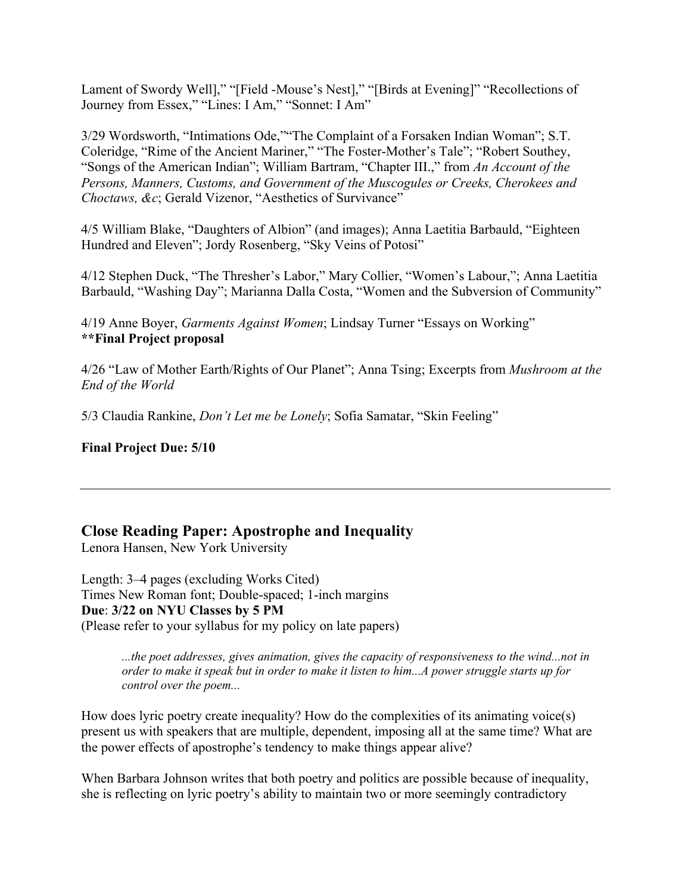Lament of Swordy Well]," "[Field -Mouse's Nest]," "[Birds at Evening]" "Recollections of Journey from Essex," "Lines: I Am," "Sonnet: I Am"

3/29 Wordsworth, "Intimations Ode,""The Complaint of a Forsaken Indian Woman"; S.T. Coleridge, "Rime of the Ancient Mariner," "The Foster-Mother's Tale"; "Robert Southey, "Songs of the American Indian"; William Bartram, "Chapter III.," from *An Account of the Persons, Manners, Customs, and Government of the Muscogules or Creeks, Cherokees and Choctaws, &c*; Gerald Vizenor, "Aesthetics of Survivance"

4/5 William Blake, "Daughters of Albion" (and images); Anna Laetitia Barbauld, "Eighteen Hundred and Eleven"; Jordy Rosenberg, "Sky Veins of Potosi"

4/12 Stephen Duck, "The Thresher's Labor," Mary Collier, "Women's Labour,"; Anna Laetitia Barbauld, "Washing Day"; Marianna Dalla Costa, "Women and the Subversion of Community"

4/19 Anne Boyer, *Garments Against Women*; Lindsay Turner "Essays on Working" **\*\*Final Project proposal** 

4/26 "Law of Mother Earth/Rights of Our Planet"; Anna Tsing; Excerpts from *Mushroom at the End of the World* 

5/3 Claudia Rankine, *Don't Let me be Lonely*; Sofia Samatar, "Skin Feeling"

**Final Project Due: 5/10** 

## **Close Reading Paper: Apostrophe and Inequality**

Lenora Hansen, New York University

Length: 3–4 pages (excluding Works Cited) Times New Roman font; Double-spaced; 1-inch margins **Due**: **3/22 on NYU Classes by 5 PM** (Please refer to your syllabus for my policy on late papers)

> *...the poet addresses, gives animation, gives the capacity of responsiveness to the wind...not in order to make it speak but in order to make it listen to him...A power struggle starts up for control over the poem...*

How does lyric poetry create inequality? How do the complexities of its animating voice(s) present us with speakers that are multiple, dependent, imposing all at the same time? What are the power effects of apostrophe's tendency to make things appear alive?

When Barbara Johnson writes that both poetry and politics are possible because of inequality, she is reflecting on lyric poetry's ability to maintain two or more seemingly contradictory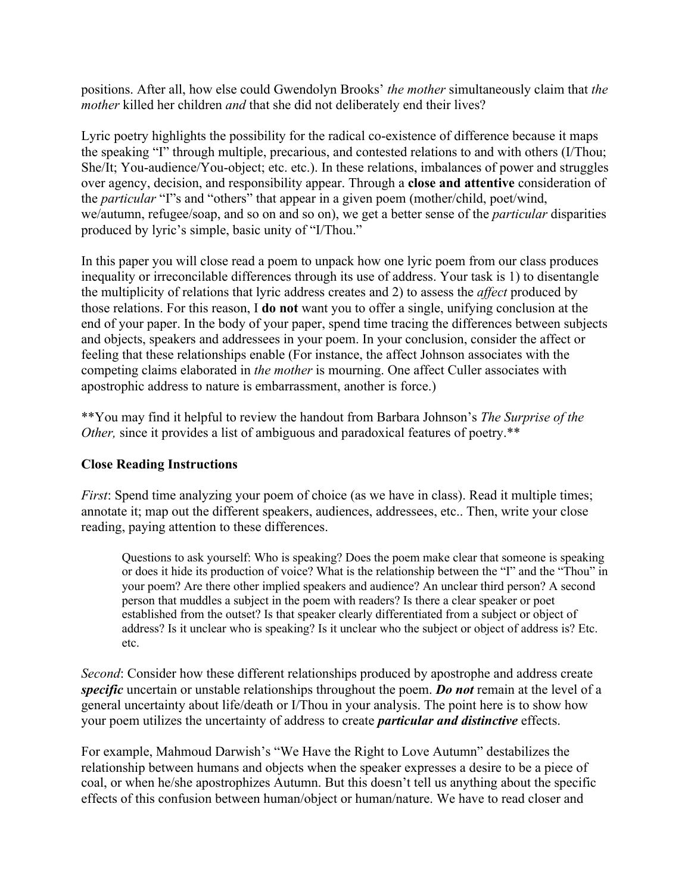positions. After all, how else could Gwendolyn Brooks' *the mother* simultaneously claim that *the mother* killed her children *and* that she did not deliberately end their lives?

Lyric poetry highlights the possibility for the radical co-existence of difference because it maps the speaking "I" through multiple, precarious, and contested relations to and with others (I/Thou; She/It; You-audience/You-object; etc. etc.). In these relations, imbalances of power and struggles over agency, decision, and responsibility appear. Through a **close and attentive** consideration of the *particular* "I"s and "others" that appear in a given poem (mother/child, poet/wind, we/autumn, refugee/soap, and so on and so on), we get a better sense of the *particular* disparities produced by lyric's simple, basic unity of "I/Thou."

In this paper you will close read a poem to unpack how one lyric poem from our class produces inequality or irreconcilable differences through its use of address. Your task is 1) to disentangle the multiplicity of relations that lyric address creates and 2) to assess the *affect* produced by those relations. For this reason, I **do not** want you to offer a single, unifying conclusion at the end of your paper. In the body of your paper, spend time tracing the differences between subjects and objects, speakers and addressees in your poem. In your conclusion, consider the affect or feeling that these relationships enable (For instance, the affect Johnson associates with the competing claims elaborated in *the mother* is mourning. One affect Culler associates with apostrophic address to nature is embarrassment, another is force.)

\*\*You may find it helpful to review the handout from Barbara Johnson's *The Surprise of the Other,* since it provides a list of ambiguous and paradoxical features of poetry.\*\*

## **Close Reading Instructions**

*First*: Spend time analyzing your poem of choice (as we have in class). Read it multiple times; annotate it; map out the different speakers, audiences, addressees, etc.. Then, write your close reading, paying attention to these differences.

Questions to ask yourself: Who is speaking? Does the poem make clear that someone is speaking or does it hide its production of voice? What is the relationship between the "I" and the "Thou" in your poem? Are there other implied speakers and audience? An unclear third person? A second person that muddles a subject in the poem with readers? Is there a clear speaker or poet established from the outset? Is that speaker clearly differentiated from a subject or object of address? Is it unclear who is speaking? Is it unclear who the subject or object of address is? Etc. etc.

*Second*: Consider how these different relationships produced by apostrophe and address create *specific* uncertain or unstable relationships throughout the poem. *Do not* remain at the level of a general uncertainty about life/death or I/Thou in your analysis. The point here is to show how your poem utilizes the uncertainty of address to create *particular and distinctive* effects.

For example, Mahmoud Darwish's "We Have the Right to Love Autumn" destabilizes the relationship between humans and objects when the speaker expresses a desire to be a piece of coal, or when he/she apostrophizes Autumn. But this doesn't tell us anything about the specific effects of this confusion between human/object or human/nature. We have to read closer and